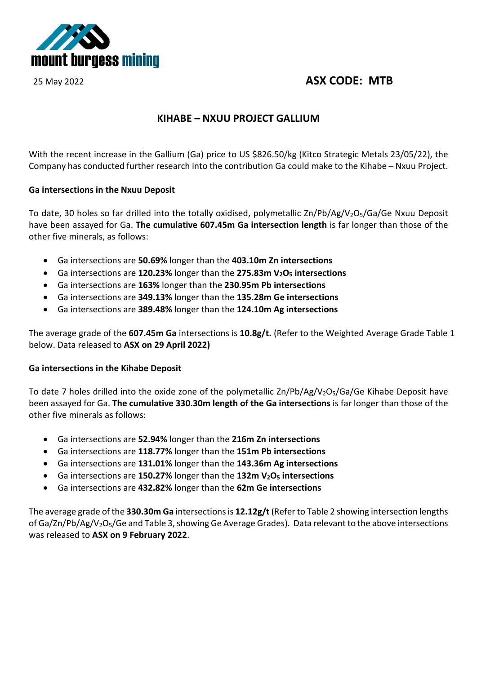

## 25 May 2022 **ASX CODE: MTB**

## **KIHABE – NXUU PROJECT GALLIUM**

With the recent increase in the Gallium (Ga) price to US \$826.50/kg (Kitco Strategic Metals 23/05/22), the Company has conducted further research into the contribution Ga could make to the Kihabe – Nxuu Project.

## **Ga intersections in the Nxuu Deposit**

To date, 30 holes so far drilled into the totally oxidised, polymetallic Zn/Pb/Ag/V<sub>2</sub>O<sub>5</sub>/Ga/Ge Nxuu Deposit have been assayed for Ga. **The cumulative 607.45m Ga intersection length** is far longer than those of the other five minerals, as follows:

- Ga intersections are **50.69%** longer than the **403.10m Zn intersections**
- Ga intersections are **120.23%** longer than the **275.83m V2O5 intersections**
- Ga intersections are **163%** longer than the **230.95m Pb intersections**
- Ga intersections are **349.13%** longer than the **135.28m Ge intersections**
- Ga intersections are **389.48%** longer than the **124.10m Ag intersections**

The average grade of the **607.45m Ga** intersections is **10.8g/t.** (Refer to the Weighted Average Grade Table 1 below. Data released to **ASX on 29 April 2022)**

## **Ga intersections in the Kihabe Deposit**

To date 7 holes drilled into the oxide zone of the polymetallic  $\text{Zn/Pb/Ag/V}_2O_5/Ga/Ge$  Kihabe Deposit have been assayed for Ga. **The cumulative 330.30m length of the Ga intersections** is far longer than those of the other five minerals as follows:

- Ga intersections are **52.94%** longer than the **216m Zn intersections**
- Ga intersections are **118.77%** longer than the **151m Pb intersections**
- Ga intersections are **131.01%** longer than the **143.36m Ag intersections**
- Ga intersections are **150.27%** longer than the **132m V2O5 intersections**
- Ga intersections are **432.82%** longer than the **62m Ge intersections**

The average grade of the **330.30m Ga** intersections is **12.12g/t** (Refer to Table 2 showing intersection lengths of Ga/Zn/Pb/Ag/V<sub>2</sub>O<sub>5</sub>/Ge and Table 3, showing Ge Average Grades). Data relevant to the above intersections was released to **ASX on 9 February 2022**.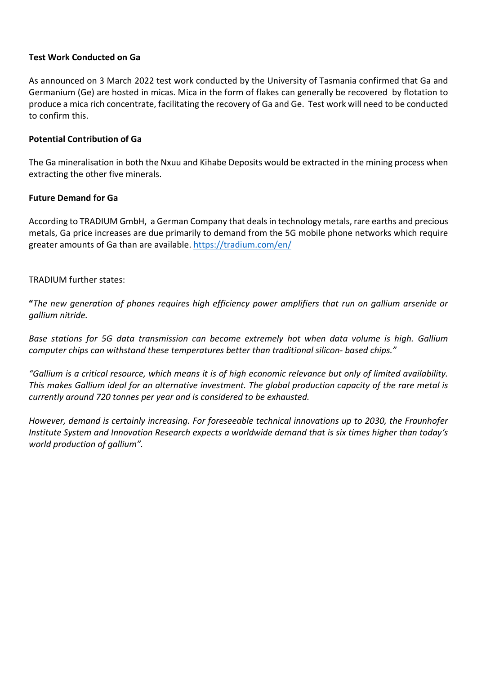## **Test Work Conducted on Ga**

As announced on 3 March 2022 test work conducted by the University of Tasmania confirmed that Ga and Germanium (Ge) are hosted in micas. Mica in the form of flakes can generally be recovered by flotation to produce a mica rich concentrate, facilitating the recovery of Ga and Ge. Test work will need to be conducted to confirm this.

## **Potential Contribution of Ga**

The Ga mineralisation in both the Nxuu and Kihabe Deposits would be extracted in the mining process when extracting the other five minerals.

## **Future Demand for Ga**

According to TRADIUM GmbH, a German Company that deals in technology metals, rare earths and precious metals, Ga price increases are due primarily to demand from the 5G mobile phone networks which require greater amounts of Ga than are available.<https://tradium.com/en/>

## TRADIUM further states:

**"***The new generation of phones requires high efficiency power amplifiers that run on gallium arsenide or gallium nitride.*

*Base stations for 5G data transmission can become extremely hot when data volume is high. Gallium computer chips can withstand these temperatures better than traditional silicon- based chips."* 

*"Gallium is a critical resource, which means it is of high economic relevance but only of limited availability. This makes Gallium ideal for an alternative investment. The global production capacity of the rare metal is currently around 720 tonnes per year and is considered to be exhausted.*

*However, demand is certainly increasing. For foreseeable technical innovations up to 2030, the Fraunhofer Institute System and Innovation Research expects a worldwide demand that is six times higher than today's world production of gallium".*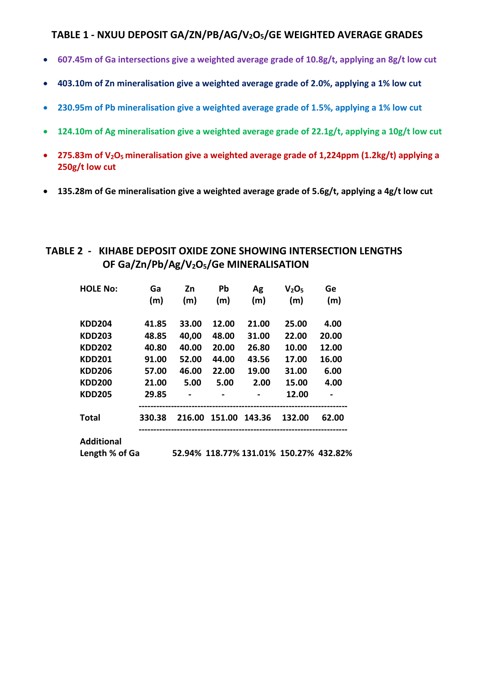## **TABLE 1 - NXUU DEPOSIT GA/ZN/PB/AG/V2O5/GE WEIGHTED AVERAGE GRADES**

- **607.45m of Ga intersections give a weighted average grade of 10.8g/t, applying an 8g/t low cut**
- **403.10m of Zn mineralisation give a weighted average grade of 2.0%, applying a 1% low cut**
- **230.95m of Pb mineralisation give a weighted average grade of 1.5%, applying a 1% low cut**
- **124.10m of Ag mineralisation give a weighted average grade of 22.1g/t, applying a 10g/t low cut**
- **275.83m of V2O5 mineralisation give a weighted average grade of 1,224ppm (1.2kg/t) applying a 250g/t low cut**
- **135.28m of Ge mineralisation give a weighted average grade of 5.6g/t, applying a 4g/t low cut**

## **TABLE 2 - KIHABE DEPOSIT OXIDE ZONE SHOWING INTERSECTION LENGTHS OF Ga/Zn/Pb/Ag/V2O5/Ge MINERALISATION**

| <b>HOLE No:</b>   | Ga<br>(m) | Zn<br>(m) | Pb<br>(m) | Ag<br>(m) | V <sub>2</sub> O <sub>5</sub><br>(m) | Ge<br>(m) |
|-------------------|-----------|-----------|-----------|-----------|--------------------------------------|-----------|
|                   |           |           |           |           |                                      |           |
| <b>KDD204</b>     | 41.85     | 33.00     | 12.00     | 21.00     | 25.00                                | 4.00      |
| <b>KDD203</b>     | 48.85     | 40,00     | 48.00     | 31.00     | 22.00                                | 20.00     |
| <b>KDD202</b>     | 40.80     | 40.00     | 20.00     | 26.80     | 10.00                                | 12.00     |
| <b>KDD201</b>     | 91.00     | 52.00     | 44.00     | 43.56     | 17.00                                | 16.00     |
| <b>KDD206</b>     | 57.00     | 46.00     | 22.00     | 19.00     | 31.00                                | 6.00      |
| <b>KDD200</b>     | 21.00     | 5.00      | 5.00      | 2.00      | 15.00                                | 4.00      |
| <b>KDD205</b>     | 29.85     |           |           |           | 12.00                                |           |
| <b>Total</b>      | 330.38    | 216.00    | 151.00    | 143.36    | 132.00                               | 62.00     |
| <b>Additional</b> |           |           |           |           |                                      |           |

**Length % of Ga 52.94% 118.77% 131.01% 150.27% 432.82%**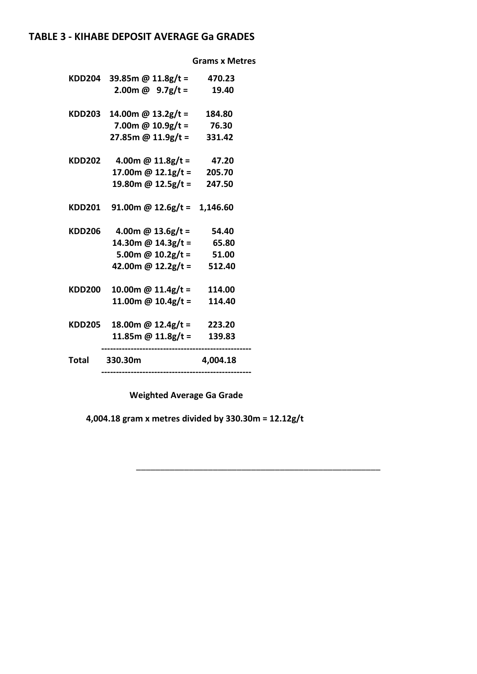## **TABLE 3 - KIHABE DEPOSIT AVERAGE Ga GRADES**

 **Grams x Metres**

| KDD204        | 39.85m @ $11.8g/t =$          | 470.23   |
|---------------|-------------------------------|----------|
|               | 2.00m @ $9.7g/t =$            | 19.40    |
| <b>KDD203</b> | 14.00m @ 13.2g/t =            | 184.80   |
|               | 7.00m @ $10.9g/t =$           | 76.30    |
|               | 27.85m @ 11.9g/t =            | 331.42   |
| <b>KDD202</b> | 4.00m @ $11.8g/t =$           | 47.20    |
|               | 17.00m @ $12.1g/t =$          | 205.70   |
|               | 19.80m @ 12.5g/t =            | 247.50   |
| <b>KDD201</b> | 91.00m @ $12.6g/t = 1,146.60$ |          |
| <b>KDD206</b> | 4.00m @ $13.6g/t =$           | 54.40    |
|               | 14.30m @ 14.3g/t =            | 65.80    |
|               | 5.00m @ $10.2g/t =$           | 51.00    |
|               | 42.00m @ 12.2g/t =            | 512.40   |
| <b>KDD200</b> | 10.00m @ $11.4g/t =$          | 114.00   |
|               | 11.00m @ $10.4g/t =$          | 114.40   |
| KDD205        | 18.00m @ $12.4g/t =$          | 223.20   |
|               | 11.85m @ $11.8g/t =$          | 139.83   |
| Total         | 330.30m                       | 4,004.18 |

 **Weighted Average Ga Grade** 

 **4,004.18 gram x metres divided by 330.30m = 12.12g/t**

\_\_\_\_\_\_\_\_\_\_\_\_\_\_\_\_\_\_\_\_\_\_\_\_\_\_\_\_\_\_\_\_\_\_\_\_\_\_\_\_\_\_\_\_\_\_\_\_\_\_\_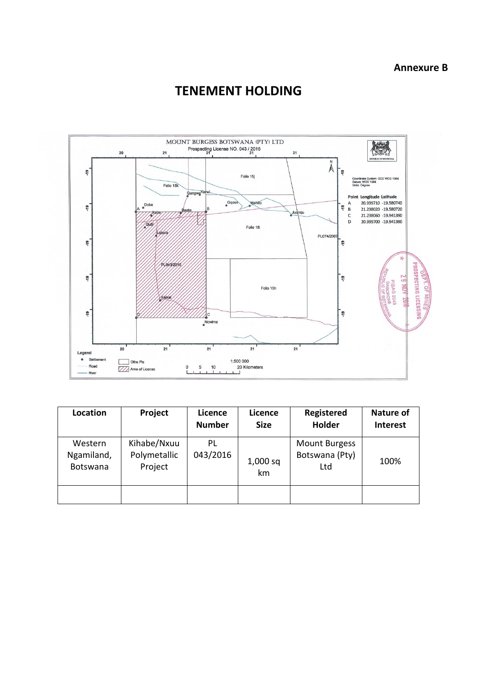# **TENEMENT HOLDING**



| Location                          | Project                                | Licence<br><b>Number</b> | Licence<br><b>Size</b> | Registered<br><b>Holder</b>                   | <b>Nature of</b><br><b>Interest</b> |
|-----------------------------------|----------------------------------------|--------------------------|------------------------|-----------------------------------------------|-------------------------------------|
| Western<br>Ngamiland,<br>Botswana | Kihabe/Nxuu<br>Polymetallic<br>Project | PL<br>043/2016           | $1,000$ sq<br>km       | <b>Mount Burgess</b><br>Botswana (Pty)<br>Ltd | 100%                                |
|                                   |                                        |                          |                        |                                               |                                     |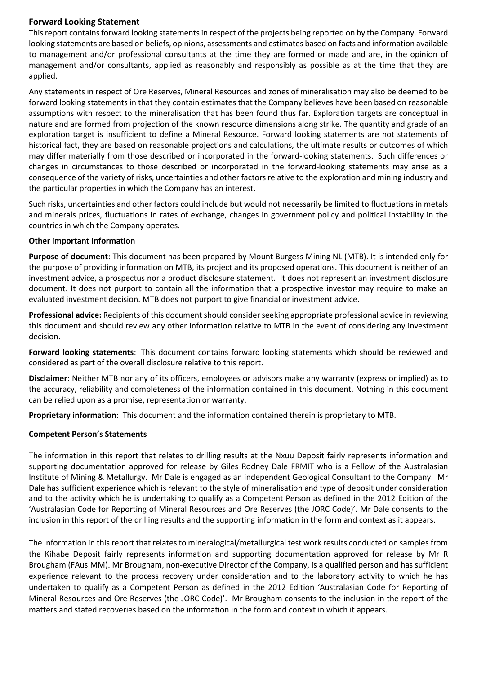## **Forward Looking Statement**

This report contains forward looking statements in respect of the projects being reported on by the Company. Forward looking statements are based on beliefs, opinions, assessments and estimates based on facts and information available to management and/or professional consultants at the time they are formed or made and are, in the opinion of management and/or consultants, applied as reasonably and responsibly as possible as at the time that they are applied.

Any statements in respect of Ore Reserves, Mineral Resources and zones of mineralisation may also be deemed to be forward looking statements in that they contain estimates that the Company believes have been based on reasonable assumptions with respect to the mineralisation that has been found thus far. Exploration targets are conceptual in nature and are formed from projection of the known resource dimensions along strike. The quantity and grade of an exploration target is insufficient to define a Mineral Resource. Forward looking statements are not statements of historical fact, they are based on reasonable projections and calculations, the ultimate results or outcomes of which may differ materially from those described or incorporated in the forward-looking statements. Such differences or changes in circumstances to those described or incorporated in the forward-looking statements may arise as a consequence of the variety of risks, uncertainties and other factors relative to the exploration and mining industry and the particular properties in which the Company has an interest.

Such risks, uncertainties and other factors could include but would not necessarily be limited to fluctuations in metals and minerals prices, fluctuations in rates of exchange, changes in government policy and political instability in the countries in which the Company operates.

#### **Other important Information**

**Purpose of document**: This document has been prepared by Mount Burgess Mining NL (MTB). It is intended only for the purpose of providing information on MTB, its project and its proposed operations. This document is neither of an investment advice, a prospectus nor a product disclosure statement. It does not represent an investment disclosure document. It does not purport to contain all the information that a prospective investor may require to make an evaluated investment decision. MTB does not purport to give financial or investment advice.

**Professional advice:** Recipients of this document should consider seeking appropriate professional advice in reviewing this document and should review any other information relative to MTB in the event of considering any investment decision.

**Forward looking statements**: This document contains forward looking statements which should be reviewed and considered as part of the overall disclosure relative to this report.

**Disclaimer:** Neither MTB nor any of its officers, employees or advisors make any warranty (express or implied) as to the accuracy, reliability and completeness of the information contained in this document. Nothing in this document can be relied upon as a promise, representation or warranty.

**Proprietary information**: This document and the information contained therein is proprietary to MTB.

#### **Competent Person's Statements**

The information in this report that relates to drilling results at the Nxuu Deposit fairly represents information and supporting documentation approved for release by Giles Rodney Dale FRMIT who is a Fellow of the Australasian Institute of Mining & Metallurgy. Mr Dale is engaged as an independent Geological Consultant to the Company. Mr Dale has sufficient experience which is relevant to the style of mineralisation and type of deposit under consideration and to the activity which he is undertaking to qualify as a Competent Person as defined in the 2012 Edition of the 'Australasian Code for Reporting of Mineral Resources and Ore Reserves (the JORC Code)'. Mr Dale consents to the inclusion in this report of the drilling results and the supporting information in the form and context as it appears.

The information in this report that relates to mineralogical/metallurgical test work results conducted on samples from the Kihabe Deposit fairly represents information and supporting documentation approved for release by Mr R Brougham (FAusIMM). Mr Brougham, non-executive Director of the Company, is a qualified person and has sufficient experience relevant to the process recovery under consideration and to the laboratory activity to which he has undertaken to qualify as a Competent Person as defined in the 2012 Edition 'Australasian Code for Reporting of Mineral Resources and Ore Reserves (the JORC Code)'. Mr Brougham consents to the inclusion in the report of the matters and stated recoveries based on the information in the form and context in which it appears.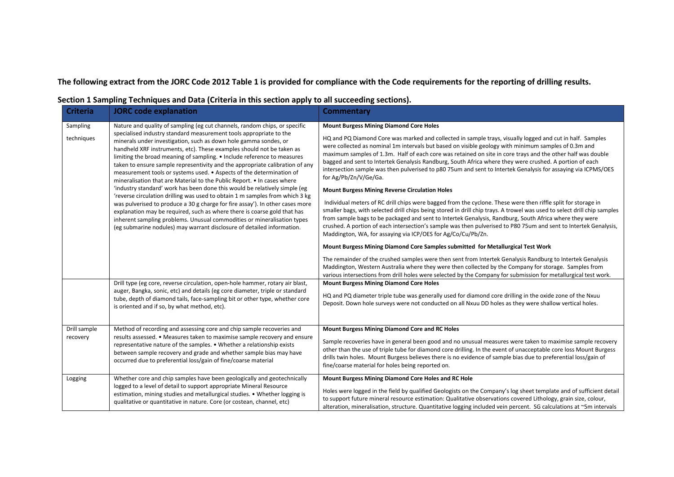**The following extract from the JORC Code 2012 Table 1 is provided for compliance with the Code requirements for the reporting of drilling results.**

| <b>Criteria</b>          | <b>JORC</b> code explanation                                                                                                                                                                                                                                                                                                                                                                                                                                                                                                                                                                                                                                                                                                                                                                                                                                                                                                                                                                                                                                                                | <b>Commentary</b>                                                                                                                                                                                                                                                                                                                                                                                                                                                                                                                                                                                                                                                                                                                                                                                                                                                                                                                                                                                                                                                                                                                                                                                                                                                                                                                                                                                                                            |
|--------------------------|---------------------------------------------------------------------------------------------------------------------------------------------------------------------------------------------------------------------------------------------------------------------------------------------------------------------------------------------------------------------------------------------------------------------------------------------------------------------------------------------------------------------------------------------------------------------------------------------------------------------------------------------------------------------------------------------------------------------------------------------------------------------------------------------------------------------------------------------------------------------------------------------------------------------------------------------------------------------------------------------------------------------------------------------------------------------------------------------|----------------------------------------------------------------------------------------------------------------------------------------------------------------------------------------------------------------------------------------------------------------------------------------------------------------------------------------------------------------------------------------------------------------------------------------------------------------------------------------------------------------------------------------------------------------------------------------------------------------------------------------------------------------------------------------------------------------------------------------------------------------------------------------------------------------------------------------------------------------------------------------------------------------------------------------------------------------------------------------------------------------------------------------------------------------------------------------------------------------------------------------------------------------------------------------------------------------------------------------------------------------------------------------------------------------------------------------------------------------------------------------------------------------------------------------------|
| Sampling<br>techniques   | Nature and quality of sampling (eg cut channels, random chips, or specific<br>specialised industry standard measurement tools appropriate to the<br>minerals under investigation, such as down hole gamma sondes, or<br>handheld XRF instruments, etc). These examples should not be taken as<br>limiting the broad meaning of sampling. • Include reference to measures<br>taken to ensure sample representivity and the appropriate calibration of any<br>measurement tools or systems used. • Aspects of the determination of<br>mineralisation that are Material to the Public Report. • In cases where<br>'industry standard' work has been done this would be relatively simple (eg<br>'reverse circulation drilling was used to obtain 1 m samples from which 3 kg<br>was pulverised to produce a 30 g charge for fire assay'). In other cases more<br>explanation may be required, such as where there is coarse gold that has<br>inherent sampling problems. Unusual commodities or mineralisation types<br>(eg submarine nodules) may warrant disclosure of detailed information. | <b>Mount Burgess Mining Diamond Core Holes</b><br>HQ and PQ Diamond Core was marked and collected in sample trays, visually logged and cut in half. Samples<br>were collected as nominal 1m intervals but based on visible geology with minimum samples of 0.3m and<br>maximum samples of 1.3m. Half of each core was retained on site in core trays and the other half was double<br>bagged and sent to Intertek Genalysis Randburg, South Africa where they were crushed. A portion of each<br>intersection sample was then pulverised to p80 75um and sent to Intertek Genalysis for assaying via ICPMS/OES<br>for Ag/Pb/Zn/V/Ge/Ga.<br><b>Mount Burgess Mining Reverse Circulation Holes</b><br>Individual meters of RC drill chips were bagged from the cyclone. These were then riffle split for storage in<br>smaller bags, with selected drill chips being stored in drill chip trays. A trowel was used to select drill chip samples<br>from sample bags to be packaged and sent to Intertek Genalysis, Randburg, South Africa where they were<br>crushed. A portion of each intersection's sample was then pulverised to P80 75um and sent to Intertek Genalysis,<br>Maddington, WA, for assaying via ICP/OES for Ag/Co/Cu/Pb/Zn.<br>Mount Burgess Mining Diamond Core Samples submitted for Metallurgical Test Work<br>The remainder of the crushed samples were then sent from Intertek Genalysis Randburg to Intertek Genalysis |
|                          | Drill type (eg core, reverse circulation, open-hole hammer, rotary air blast,<br>auger, Bangka, sonic, etc) and details (eg core diameter, triple or standard<br>tube, depth of diamond tails, face-sampling bit or other type, whether core<br>is oriented and if so, by what method, etc).                                                                                                                                                                                                                                                                                                                                                                                                                                                                                                                                                                                                                                                                                                                                                                                                | Maddington, Western Australia where they were then collected by the Company for storage. Samples from<br>various intersections from drill holes were selected by the Company for submission for metallurgical test work.<br><b>Mount Burgess Mining Diamond Core Holes</b><br>HQ and PQ diameter triple tube was generally used for diamond core drilling in the oxide zone of the Nxuu<br>Deposit. Down hole surveys were not conducted on all Nxuu DD holes as they were shallow vertical holes.                                                                                                                                                                                                                                                                                                                                                                                                                                                                                                                                                                                                                                                                                                                                                                                                                                                                                                                                           |
| Drill sample<br>recovery | Method of recording and assessing core and chip sample recoveries and<br>results assessed. • Measures taken to maximise sample recovery and ensure<br>representative nature of the samples. • Whether a relationship exists<br>between sample recovery and grade and whether sample bias may have<br>occurred due to preferential loss/gain of fine/coarse material                                                                                                                                                                                                                                                                                                                                                                                                                                                                                                                                                                                                                                                                                                                         | Mount Burgess Mining Diamond Core and RC Holes<br>Sample recoveries have in general been good and no unusual measures were taken to maximise sample recovery<br>other than the use of triple tube for diamond core drilling. In the event of unacceptable core loss Mount Burgess<br>drills twin holes. Mount Burgess believes there is no evidence of sample bias due to preferential loss/gain of<br>fine/coarse material for holes being reported on.                                                                                                                                                                                                                                                                                                                                                                                                                                                                                                                                                                                                                                                                                                                                                                                                                                                                                                                                                                                     |
| Logging                  | Whether core and chip samples have been geologically and geotechnically<br>logged to a level of detail to support appropriate Mineral Resource<br>estimation, mining studies and metallurgical studies. • Whether logging is<br>qualitative or quantitative in nature. Core (or costean, channel, etc)                                                                                                                                                                                                                                                                                                                                                                                                                                                                                                                                                                                                                                                                                                                                                                                      | Mount Burgess Mining Diamond Core Holes and RC Hole<br>Holes were logged in the field by qualified Geologists on the Company's log sheet template and of sufficient detail<br>to support future mineral resource estimation: Qualitative observations covered Lithology, grain size, colour,<br>alteration, mineralisation, structure. Quantitative logging included vein percent. SG calculations at ~5m intervals                                                                                                                                                                                                                                                                                                                                                                                                                                                                                                                                                                                                                                                                                                                                                                                                                                                                                                                                                                                                                          |

## **Section 1 Sampling Techniques and Data (Criteria in this section apply to all succeeding sections).**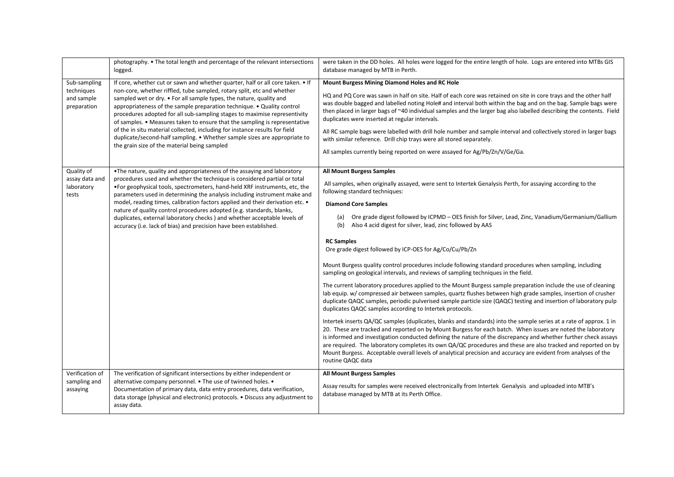|                                                         | photography. • The total length and percentage of the relevant intersections<br>logged.                                                                                                                                                                                                                                                                                                                                                                                                                                                                                                                                                                                          | were taken in the DD holes. All holes were logged for the entire length of hole. Logs are entered into MTBs GIS<br>database managed by MTB in Perth.                                                                                                                                                                                                                                                                                                                                                                                                                                                                                                                                                                                                                                                                                                                                                                                                                                                                                                                                                                                                                                                                                                                                                                                                                                                                                                                                                                                                                                                                                                                                                                |
|---------------------------------------------------------|----------------------------------------------------------------------------------------------------------------------------------------------------------------------------------------------------------------------------------------------------------------------------------------------------------------------------------------------------------------------------------------------------------------------------------------------------------------------------------------------------------------------------------------------------------------------------------------------------------------------------------------------------------------------------------|---------------------------------------------------------------------------------------------------------------------------------------------------------------------------------------------------------------------------------------------------------------------------------------------------------------------------------------------------------------------------------------------------------------------------------------------------------------------------------------------------------------------------------------------------------------------------------------------------------------------------------------------------------------------------------------------------------------------------------------------------------------------------------------------------------------------------------------------------------------------------------------------------------------------------------------------------------------------------------------------------------------------------------------------------------------------------------------------------------------------------------------------------------------------------------------------------------------------------------------------------------------------------------------------------------------------------------------------------------------------------------------------------------------------------------------------------------------------------------------------------------------------------------------------------------------------------------------------------------------------------------------------------------------------------------------------------------------------|
| Sub-sampling<br>techniques<br>and sample<br>preparation | If core, whether cut or sawn and whether quarter, half or all core taken. • If<br>non-core, whether riffled, tube sampled, rotary split, etc and whether<br>sampled wet or dry. • For all sample types, the nature, quality and<br>appropriateness of the sample preparation technique. • Quality control<br>procedures adopted for all sub-sampling stages to maximise representivity<br>of samples. • Measures taken to ensure that the sampling is representative<br>of the in situ material collected, including for instance results for field<br>duplicate/second-half sampling. • Whether sample sizes are appropriate to<br>the grain size of the material being sampled | <b>Mount Burgess Mining Diamond Holes and RC Hole</b><br>HQ and PQ Core was sawn in half on site. Half of each core was retained on site in core trays and the other half<br>was double bagged and labelled noting Hole# and interval both within the bag and on the bag. Sample bags were<br>then placed in larger bags of ~40 individual samples and the larger bag also labelled describing the contents. Field<br>duplicates were inserted at regular intervals.<br>All RC sample bags were labelled with drill hole number and sample interval and collectively stored in larger bags<br>with similar reference. Drill chip trays were all stored separately.<br>All samples currently being reported on were assayed for Ag/Pb/Zn/V/Ge/Ga.                                                                                                                                                                                                                                                                                                                                                                                                                                                                                                                                                                                                                                                                                                                                                                                                                                                                                                                                                                    |
| Quality of<br>assay data and<br>laboratory<br>tests     | . The nature, quality and appropriateness of the assaying and laboratory<br>procedures used and whether the technique is considered partial or total<br>. For geophysical tools, spectrometers, hand-held XRF instruments, etc, the<br>parameters used in determining the analysis including instrument make and<br>model, reading times, calibration factors applied and their derivation etc. .<br>nature of quality control procedures adopted (e.g. standards, blanks,<br>duplicates, external laboratory checks) and whether acceptable levels of<br>accuracy (i.e. lack of bias) and precision have been established.                                                      | <b>All Mount Burgess Samples</b><br>All samples, when originally assayed, were sent to Intertek Genalysis Perth, for assaying according to the<br>following standard techniques:<br><b>Diamond Core Samples</b><br>Ore grade digest followed by ICPMD - OES finish for Silver, Lead, Zinc, Vanadium/Germanium/Gallium<br>(a)<br>Also 4 acid digest for silver, lead, zinc followed by AAS<br>(b)<br><b>RC Samples</b><br>Ore grade digest followed by ICP-OES for Ag/Co/Cu/Pb/Zn<br>Mount Burgess quality control procedures include following standard procedures when sampling, including<br>sampling on geological intervals, and reviews of sampling techniques in the field.<br>The current laboratory procedures applied to the Mount Burgess sample preparation include the use of cleaning<br>lab equip. w/ compressed air between samples, quartz flushes between high grade samples, insertion of crusher<br>duplicate QAQC samples, periodic pulverised sample particle size (QAQC) testing and insertion of laboratory pulp<br>duplicates QAQC samples according to Intertek protocols.<br>Intertek inserts QA/QC samples (duplicates, blanks and standards) into the sample series at a rate of approx. 1 in<br>20. These are tracked and reported on by Mount Burgess for each batch. When issues are noted the laboratory<br>is informed and investigation conducted defining the nature of the discrepancy and whether further check assays<br>are required. The laboratory completes its own QA/QC procedures and these are also tracked and reported on by<br>Mount Burgess. Acceptable overall levels of analytical precision and accuracy are evident from analyses of the<br>routine QAQC data |
| Verification of<br>sampling and<br>assaying             | The verification of significant intersections by either independent or<br>alternative company personnel. • The use of twinned holes. •<br>Documentation of primary data, data entry procedures, data verification,<br>data storage (physical and electronic) protocols. • Discuss any adjustment to<br>assay data.                                                                                                                                                                                                                                                                                                                                                               | <b>All Mount Burgess Samples</b><br>Assay results for samples were received electronically from Intertek Genalysis and uploaded into MTB's<br>database managed by MTB at its Perth Office.                                                                                                                                                                                                                                                                                                                                                                                                                                                                                                                                                                                                                                                                                                                                                                                                                                                                                                                                                                                                                                                                                                                                                                                                                                                                                                                                                                                                                                                                                                                          |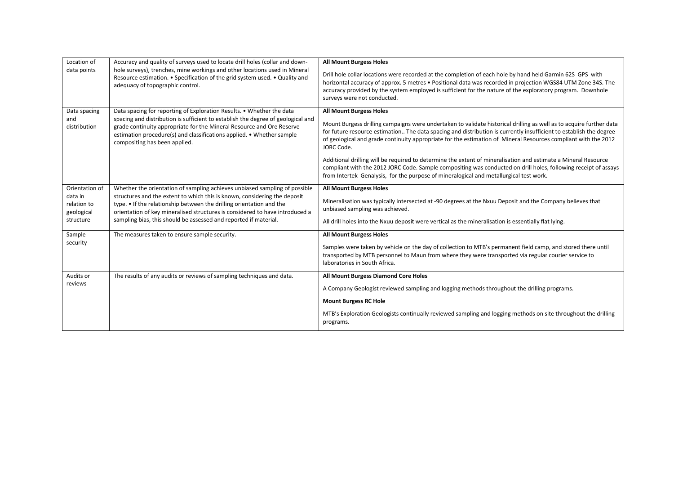| Location of                                                                                                                                                                                                                                                               | Accuracy and quality of surveys used to locate drill holes (collar and down-                                                                                                                                                                                                                                                                 | <b>All Mount Burgess Holes</b>                                                                                                                                                                                                                                                                                                                                                                              |
|---------------------------------------------------------------------------------------------------------------------------------------------------------------------------------------------------------------------------------------------------------------------------|----------------------------------------------------------------------------------------------------------------------------------------------------------------------------------------------------------------------------------------------------------------------------------------------------------------------------------------------|-------------------------------------------------------------------------------------------------------------------------------------------------------------------------------------------------------------------------------------------------------------------------------------------------------------------------------------------------------------------------------------------------------------|
| data points                                                                                                                                                                                                                                                               | hole surveys), trenches, mine workings and other locations used in Mineral<br>Resource estimation. • Specification of the grid system used. • Quality and<br>adequacy of topographic control.                                                                                                                                                | Drill hole collar locations were recorded at the completion of each hole by hand held Garmin 62S GPS with<br>horizontal accuracy of approx. 5 metres • Positional data was recorded in projection WGS84 UTM Zone 34S. The<br>accuracy provided by the system employed is sufficient for the nature of the exploratory program. Downhole<br>surveys were not conducted.                                      |
| Data spacing<br>and<br>distribution                                                                                                                                                                                                                                       | Data spacing for reporting of Exploration Results. • Whether the data<br>spacing and distribution is sufficient to establish the degree of geological and<br>grade continuity appropriate for the Mineral Resource and Ore Reserve<br>estimation procedure(s) and classifications applied. • Whether sample<br>compositing has been applied. | <b>All Mount Burgess Holes</b><br>Mount Burgess drilling campaigns were undertaken to validate historical drilling as well as to acquire further data<br>for future resource estimation The data spacing and distribution is currently insufficient to establish the degree<br>of geological and grade continuity appropriate for the estimation of Mineral Resources compliant with the 2012<br>JORC Code. |
|                                                                                                                                                                                                                                                                           |                                                                                                                                                                                                                                                                                                                                              | Additional drilling will be required to determine the extent of mineralisation and estimate a Mineral Resource<br>compliant with the 2012 JORC Code. Sample compositing was conducted on drill holes, following receipt of assays<br>from Intertek Genalysis, for the purpose of mineralogical and metallurgical test work.                                                                                 |
| Orientation of                                                                                                                                                                                                                                                            | Whether the orientation of sampling achieves unbiased sampling of possible                                                                                                                                                                                                                                                                   | <b>All Mount Burgess Holes</b>                                                                                                                                                                                                                                                                                                                                                                              |
| data in<br>structures and the extent to which this is known, considering the deposit<br>type. • If the relationship between the drilling orientation and the<br>relation to<br>orientation of key mineralised structures is considered to have introduced a<br>geological |                                                                                                                                                                                                                                                                                                                                              | Mineralisation was typically intersected at -90 degrees at the Nxuu Deposit and the Company believes that<br>unbiased sampling was achieved.                                                                                                                                                                                                                                                                |
| structure                                                                                                                                                                                                                                                                 | sampling bias, this should be assessed and reported if material.                                                                                                                                                                                                                                                                             | All drill holes into the Nxuu deposit were vertical as the mineralisation is essentially flat lying.                                                                                                                                                                                                                                                                                                        |
| Sample                                                                                                                                                                                                                                                                    | The measures taken to ensure sample security.                                                                                                                                                                                                                                                                                                | <b>All Mount Burgess Holes</b>                                                                                                                                                                                                                                                                                                                                                                              |
| security                                                                                                                                                                                                                                                                  |                                                                                                                                                                                                                                                                                                                                              | Samples were taken by vehicle on the day of collection to MTB's permanent field camp, and stored there until<br>transported by MTB personnel to Maun from where they were transported via regular courier service to<br>laboratories in South Africa.                                                                                                                                                       |
| Audits or                                                                                                                                                                                                                                                                 | The results of any audits or reviews of sampling techniques and data.                                                                                                                                                                                                                                                                        | All Mount Burgess Diamond Core Holes                                                                                                                                                                                                                                                                                                                                                                        |
| reviews                                                                                                                                                                                                                                                                   |                                                                                                                                                                                                                                                                                                                                              | A Company Geologist reviewed sampling and logging methods throughout the drilling programs.                                                                                                                                                                                                                                                                                                                 |
|                                                                                                                                                                                                                                                                           |                                                                                                                                                                                                                                                                                                                                              | <b>Mount Burgess RC Hole</b>                                                                                                                                                                                                                                                                                                                                                                                |
|                                                                                                                                                                                                                                                                           |                                                                                                                                                                                                                                                                                                                                              | MTB's Exploration Geologists continually reviewed sampling and logging methods on site throughout the drilling<br>programs.                                                                                                                                                                                                                                                                                 |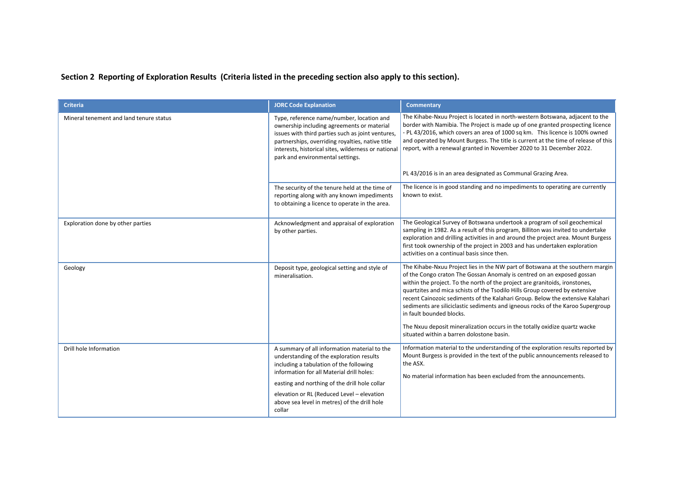**Section 2 Reporting of Exploration Results (Criteria listed in the preceding section also apply to this section).**

| <b>Criteria</b>                         | <b>JORC Code Explanation</b>                                                                                                                                                                                                                                                                                                              | <b>Commentary</b>                                                                                                                                                                                                                                                                                                                                                                                                                                                                                                                                                                                                                                  |
|-----------------------------------------|-------------------------------------------------------------------------------------------------------------------------------------------------------------------------------------------------------------------------------------------------------------------------------------------------------------------------------------------|----------------------------------------------------------------------------------------------------------------------------------------------------------------------------------------------------------------------------------------------------------------------------------------------------------------------------------------------------------------------------------------------------------------------------------------------------------------------------------------------------------------------------------------------------------------------------------------------------------------------------------------------------|
| Mineral tenement and land tenure status | Type, reference name/number, location and<br>ownership including agreements or material<br>issues with third parties such as joint ventures,<br>partnerships, overriding royalties, native title<br>interests, historical sites, wilderness or national<br>park and environmental settings.                                               | The Kihabe-Nxuu Project is located in north-western Botswana, adjacent to the<br>border with Namibia. The Project is made up of one granted prospecting licence<br>- PL 43/2016, which covers an area of 1000 sq km. This licence is 100% owned<br>and operated by Mount Burgess. The title is current at the time of release of this<br>report, with a renewal granted in November 2020 to 31 December 2022.                                                                                                                                                                                                                                      |
|                                         |                                                                                                                                                                                                                                                                                                                                           | PL 43/2016 is in an area designated as Communal Grazing Area.                                                                                                                                                                                                                                                                                                                                                                                                                                                                                                                                                                                      |
|                                         | The security of the tenure held at the time of<br>reporting along with any known impediments<br>to obtaining a licence to operate in the area.                                                                                                                                                                                            | The licence is in good standing and no impediments to operating are currently<br>known to exist.                                                                                                                                                                                                                                                                                                                                                                                                                                                                                                                                                   |
| Exploration done by other parties       | Acknowledgment and appraisal of exploration<br>by other parties.                                                                                                                                                                                                                                                                          | The Geological Survey of Botswana undertook a program of soil geochemical<br>sampling in 1982. As a result of this program, Billiton was invited to undertake<br>exploration and drilling activities in and around the project area. Mount Burgess<br>first took ownership of the project in 2003 and has undertaken exploration<br>activities on a continual basis since then.                                                                                                                                                                                                                                                                    |
| Geology                                 | Deposit type, geological setting and style of<br>mineralisation.                                                                                                                                                                                                                                                                          | The Kihabe-Nxuu Project lies in the NW part of Botswana at the southern margin<br>of the Congo craton The Gossan Anomaly is centred on an exposed gossan<br>within the project. To the north of the project are granitoids, ironstones,<br>quartzites and mica schists of the Tsodilo Hills Group covered by extensive<br>recent Cainozoic sediments of the Kalahari Group. Below the extensive Kalahari<br>sediments are siliciclastic sediments and igneous rocks of the Karoo Supergroup<br>in fault bounded blocks.<br>The Nxuu deposit mineralization occurs in the totally oxidize quartz wacke<br>situated within a barren dolostone basin. |
| Drill hole Information                  | A summary of all information material to the<br>understanding of the exploration results<br>including a tabulation of the following<br>information for all Material drill holes:<br>easting and northing of the drill hole collar<br>elevation or RL (Reduced Level - elevation<br>above sea level in metres) of the drill hole<br>collar | Information material to the understanding of the exploration results reported by<br>Mount Burgess is provided in the text of the public announcements released to<br>the ASX.<br>No material information has been excluded from the announcements.                                                                                                                                                                                                                                                                                                                                                                                                 |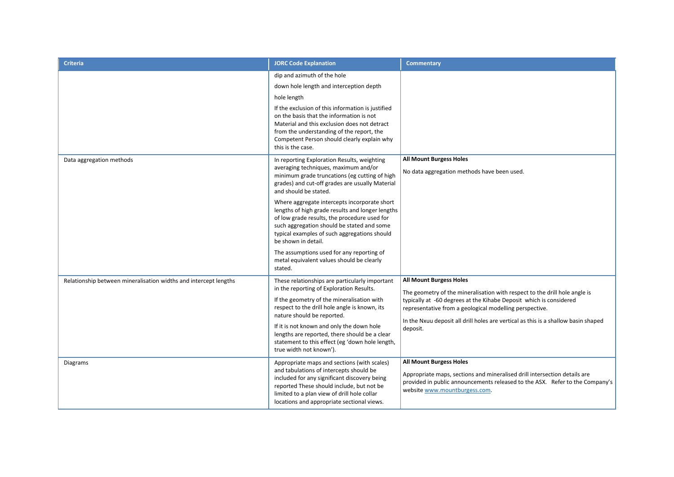| <b>Criteria</b>                                                  | <b>JORC Code Explanation</b>                                                                                                                                                                                                                                                                                                                                                                                                                                                                                                                                                                   | <b>Commentary</b>                                                                                                                                                                                                                                                                                                                               |
|------------------------------------------------------------------|------------------------------------------------------------------------------------------------------------------------------------------------------------------------------------------------------------------------------------------------------------------------------------------------------------------------------------------------------------------------------------------------------------------------------------------------------------------------------------------------------------------------------------------------------------------------------------------------|-------------------------------------------------------------------------------------------------------------------------------------------------------------------------------------------------------------------------------------------------------------------------------------------------------------------------------------------------|
|                                                                  | dip and azimuth of the hole<br>down hole length and interception depth<br>hole length<br>If the exclusion of this information is justified<br>on the basis that the information is not<br>Material and this exclusion does not detract<br>from the understanding of the report, the<br>Competent Person should clearly explain why<br>this is the case.                                                                                                                                                                                                                                        |                                                                                                                                                                                                                                                                                                                                                 |
| Data aggregation methods                                         | In reporting Exploration Results, weighting<br>averaging techniques, maximum and/or<br>minimum grade truncations (eg cutting of high<br>grades) and cut-off grades are usually Material<br>and should be stated.<br>Where aggregate intercepts incorporate short<br>lengths of high grade results and longer lengths<br>of low grade results, the procedure used for<br>such aggregation should be stated and some<br>typical examples of such aggregations should<br>be shown in detail.<br>The assumptions used for any reporting of<br>metal equivalent values should be clearly<br>stated. | <b>All Mount Burgess Holes</b><br>No data aggregation methods have been used.                                                                                                                                                                                                                                                                   |
| Relationship between mineralisation widths and intercept lengths | These relationships are particularly important<br>in the reporting of Exploration Results.<br>If the geometry of the mineralisation with<br>respect to the drill hole angle is known, its<br>nature should be reported.<br>If it is not known and only the down hole<br>lengths are reported, there should be a clear<br>statement to this effect (eg 'down hole length,<br>true width not known').                                                                                                                                                                                            | <b>All Mount Burgess Holes</b><br>The geometry of the mineralisation with respect to the drill hole angle is<br>typically at -60 degrees at the Kihabe Deposit which is considered<br>representative from a geological modelling perspective.<br>In the Nxuu deposit all drill holes are vertical as this is a shallow basin shaped<br>deposit. |
| Diagrams                                                         | Appropriate maps and sections (with scales)<br>and tabulations of intercepts should be<br>included for any significant discovery being<br>reported These should include, but not be<br>limited to a plan view of drill hole collar<br>locations and appropriate sectional views.                                                                                                                                                                                                                                                                                                               | <b>All Mount Burgess Holes</b><br>Appropriate maps, sections and mineralised drill intersection details are<br>provided in public announcements released to the ASX. Refer to the Company's<br>website www.mountburgess.com.                                                                                                                    |